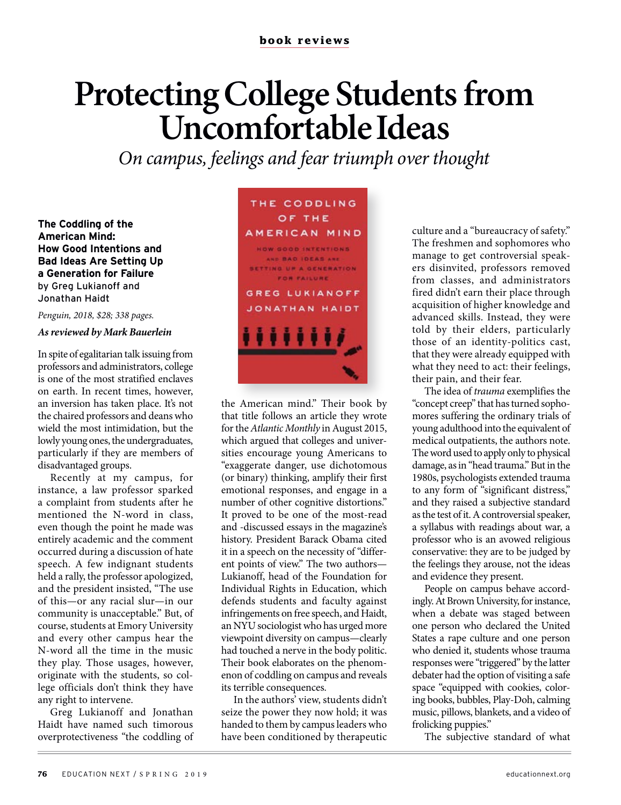## **Protecting College Students from Uncomfortable Ideas**

*On campus, feelings and fear triumph over thought*

**The Coddling of the American Mind: How Good Intentions and Bad Ideas Are Setting Up a Generation for Failure**  by Greg Lukianoff and Jonathan Haidt

*Penguin, 2018, \$28; 338 pages.*

## *As reviewed by Mark Bauerlein*

In spite of egalitarian talk issuing from professors and administrators, college is one of the most stratified enclaves on earth. In recent times, however, an inversion has taken place. It's not the chaired professors and deans who wield the most intimidation, but the lowly young ones, the undergraduates, particularly if they are members of disadvantaged groups.

Recently at my campus, for instance, a law professor sparked a complaint from students after he mentioned the N-word in class, even though the point he made was entirely academic and the comment occurred during a discussion of hate speech. A few indignant students held a rally, the professor apologized, and the president insisted, "The use of this—or any racial slur—in our community is unacceptable." But, of course, students at Emory University and every other campus hear the N-word all the time in the music they play. Those usages, however, originate with the students, so college officials don't think they have any right to intervene.

Greg Lukianoff and Jonathan Haidt have named such timorous overprotectiveness "the coddling of



the American mind." Their book by that title follows an article they wrote for the *Atlantic Monthly* in August 2015, which argued that colleges and universities encourage young Americans to "exaggerate danger, use dichotomous (or binary) thinking, amplify their first emotional responses, and engage in a number of other cognitive distortions." It proved to be one of the most-read and -discussed essays in the magazine's history. President Barack Obama cited it in a speech on the necessity of "different points of view." The two authors— Lukianoff, head of the Foundation for Individual Rights in Education, which defends students and faculty against infringements on free speech, and Haidt, an NYU sociologist who has urged more viewpoint diversity on campus—clearly had touched a nerve in the body politic. Their book elaborates on the phenomenon of coddling on campus and reveals its terrible consequences.

In the authors' view, students didn't seize the power they now hold; it was handed to them by campus leaders who have been conditioned by therapeutic

culture and a "bureaucracy of safety." The freshmen and sophomores who manage to get controversial speakers disinvited, professors removed from classes, and administrators fired didn't earn their place through acquisition of higher knowledge and advanced skills. Instead, they were told by their elders, particularly those of an identity-politics cast, that they were already equipped with what they need to act: their feelings, their pain, and their fear.

The idea of *trauma* exemplifies the "concept creep" that has turned sophomores suffering the ordinary trials of young adulthood into the equivalent of medical outpatients, the authors note. The word used to apply only to physical damage, as in "head trauma." But in the 1980s, psychologists extended trauma to any form of "significant distress," and they raised a subjective standard as the test of it. A controversial speaker, a syllabus with readings about war, a professor who is an avowed religious conservative: they are to be judged by the feelings they arouse, not the ideas and evidence they present.

People on campus behave accordingly. At Brown University, for instance, when a debate was staged between one person who declared the United States a rape culture and one person who denied it, students whose trauma responses were "triggered" by the latter debater had the option of visiting a safe space "equipped with cookies, coloring books, bubbles, Play-Doh, calming music, pillows, blankets, and a video of frolicking puppies."

The subjective standard of what